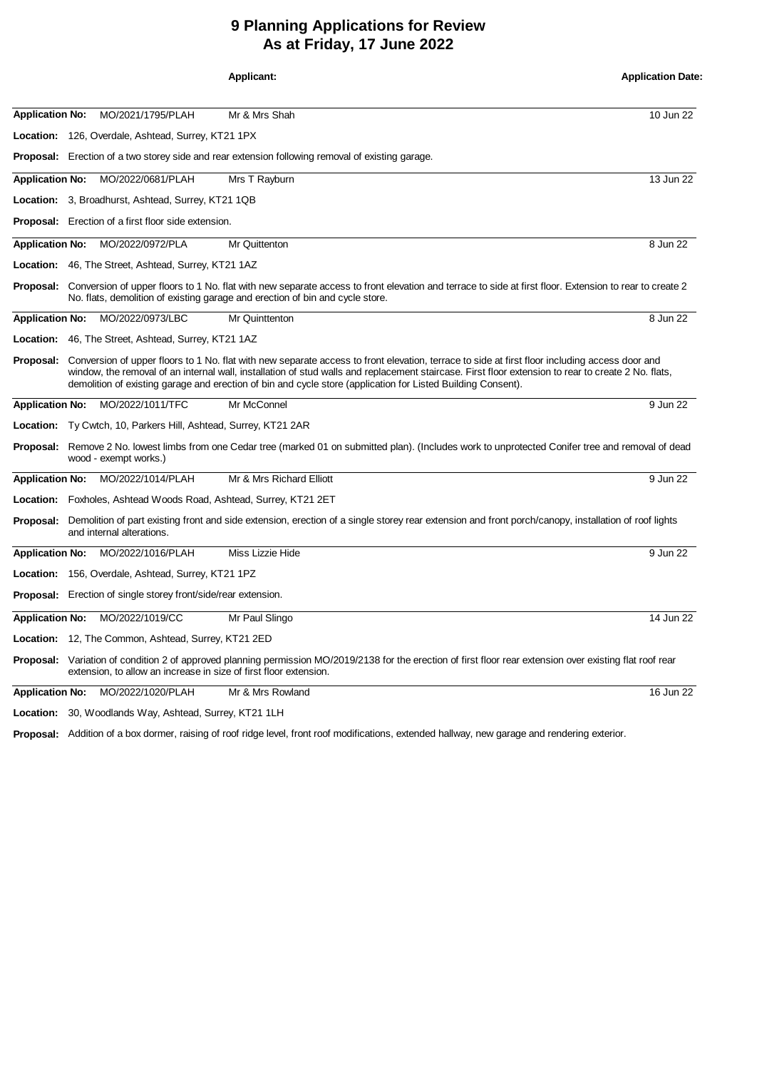## **9 Planning Applications for Review As at Friday, 17 June 2022**

|                        |                                                                                                                                                                                                                                                                                                                                                                                                                       |                                                                                                                                                                                                                                         | <b>Applicant:</b>                                                                                                                                                                                                                                        | <b>Application Date:</b> |  |  |
|------------------------|-----------------------------------------------------------------------------------------------------------------------------------------------------------------------------------------------------------------------------------------------------------------------------------------------------------------------------------------------------------------------------------------------------------------------|-----------------------------------------------------------------------------------------------------------------------------------------------------------------------------------------------------------------------------------------|----------------------------------------------------------------------------------------------------------------------------------------------------------------------------------------------------------------------------------------------------------|--------------------------|--|--|
| <b>Application No:</b> |                                                                                                                                                                                                                                                                                                                                                                                                                       | MO/2021/1795/PLAH                                                                                                                                                                                                                       | Mr & Mrs Shah                                                                                                                                                                                                                                            | 10 Jun 22                |  |  |
|                        |                                                                                                                                                                                                                                                                                                                                                                                                                       | Location: 126, Overdale, Ashtead, Surrey, KT21 1PX                                                                                                                                                                                      |                                                                                                                                                                                                                                                          |                          |  |  |
|                        |                                                                                                                                                                                                                                                                                                                                                                                                                       |                                                                                                                                                                                                                                         | <b>Proposal:</b> Erection of a two storey side and rear extension following removal of existing garage.                                                                                                                                                  |                          |  |  |
| <b>Application No:</b> |                                                                                                                                                                                                                                                                                                                                                                                                                       | MO/2022/0681/PLAH                                                                                                                                                                                                                       | Mrs T Rayburn                                                                                                                                                                                                                                            | 13 Jun 22                |  |  |
|                        |                                                                                                                                                                                                                                                                                                                                                                                                                       | <b>Location:</b> 3, Broadhurst, Ashtead, Surrey, KT21 1QB                                                                                                                                                                               |                                                                                                                                                                                                                                                          |                          |  |  |
|                        |                                                                                                                                                                                                                                                                                                                                                                                                                       | <b>Proposal:</b> Erection of a first floor side extension.                                                                                                                                                                              |                                                                                                                                                                                                                                                          |                          |  |  |
| <b>Application No:</b> |                                                                                                                                                                                                                                                                                                                                                                                                                       | MO/2022/0972/PLA                                                                                                                                                                                                                        | Mr Quittenton                                                                                                                                                                                                                                            | 8 Jun 22                 |  |  |
|                        |                                                                                                                                                                                                                                                                                                                                                                                                                       | Location: 46, The Street, Ashtead, Surrey, KT21 1AZ                                                                                                                                                                                     |                                                                                                                                                                                                                                                          |                          |  |  |
|                        |                                                                                                                                                                                                                                                                                                                                                                                                                       |                                                                                                                                                                                                                                         | <b>Proposal:</b> Conversion of upper floors to 1 No. flat with new separate access to front elevation and terrace to side at first floor. Extension to rear to create 2<br>No. flats, demolition of existing garage and erection of bin and cycle store. |                          |  |  |
| <b>Application No:</b> |                                                                                                                                                                                                                                                                                                                                                                                                                       | MO/2022/0973/LBC                                                                                                                                                                                                                        | Mr Quinttenton                                                                                                                                                                                                                                           | 8 Jun 22                 |  |  |
|                        |                                                                                                                                                                                                                                                                                                                                                                                                                       | <b>Location:</b> 46, The Street, Ashtead, Surrey, KT21 1AZ                                                                                                                                                                              |                                                                                                                                                                                                                                                          |                          |  |  |
| Proposal:              | Conversion of upper floors to 1 No. flat with new separate access to front elevation, terrace to side at first floor including access door and<br>window, the removal of an internal wall, installation of stud walls and replacement staircase. First floor extension to rear to create 2 No. flats,<br>demolition of existing garage and erection of bin and cycle store (application for Listed Building Consent). |                                                                                                                                                                                                                                         |                                                                                                                                                                                                                                                          |                          |  |  |
| <b>Application No:</b> |                                                                                                                                                                                                                                                                                                                                                                                                                       | MO/2022/1011/TFC                                                                                                                                                                                                                        | Mr McConnel                                                                                                                                                                                                                                              | 9 Jun 22                 |  |  |
|                        |                                                                                                                                                                                                                                                                                                                                                                                                                       | Location: Ty Cwtch, 10, Parkers Hill, Ashtead, Surrey, KT21 2AR                                                                                                                                                                         |                                                                                                                                                                                                                                                          |                          |  |  |
|                        | <b>Proposal:</b> Remove 2 No. lowest limbs from one Cedar tree (marked 01 on submitted plan). (Includes work to unprotected Conifer tree and removal of dead<br>wood - exempt works.)                                                                                                                                                                                                                                 |                                                                                                                                                                                                                                         |                                                                                                                                                                                                                                                          |                          |  |  |
| <b>Application No:</b> |                                                                                                                                                                                                                                                                                                                                                                                                                       | MO/2022/1014/PLAH                                                                                                                                                                                                                       | Mr & Mrs Richard Elliott                                                                                                                                                                                                                                 | 9 Jun 22                 |  |  |
|                        |                                                                                                                                                                                                                                                                                                                                                                                                                       | <b>Location:</b> Foxholes, Ashtead Woods Road, Ashtead, Surrey, KT21 2ET                                                                                                                                                                |                                                                                                                                                                                                                                                          |                          |  |  |
|                        | Proposal: Demolition of part existing front and side extension, erection of a single storey rear extension and front porch/canopy, installation of roof lights<br>and internal alterations.                                                                                                                                                                                                                           |                                                                                                                                                                                                                                         |                                                                                                                                                                                                                                                          |                          |  |  |
| <b>Application No:</b> |                                                                                                                                                                                                                                                                                                                                                                                                                       | MO/2022/1016/PLAH                                                                                                                                                                                                                       | Miss Lizzie Hide                                                                                                                                                                                                                                         | 9 Jun 22                 |  |  |
|                        |                                                                                                                                                                                                                                                                                                                                                                                                                       | <b>Location:</b> 156, Overdale, Ashtead, Surrey, KT21 1PZ                                                                                                                                                                               |                                                                                                                                                                                                                                                          |                          |  |  |
|                        |                                                                                                                                                                                                                                                                                                                                                                                                                       | <b>Proposal:</b> Erection of single storey front/side/rear extension.                                                                                                                                                                   |                                                                                                                                                                                                                                                          |                          |  |  |
| <b>Application No:</b> |                                                                                                                                                                                                                                                                                                                                                                                                                       | MO/2022/1019/CC                                                                                                                                                                                                                         | Mr Paul Slingo                                                                                                                                                                                                                                           | 14 Jun 22                |  |  |
|                        |                                                                                                                                                                                                                                                                                                                                                                                                                       | <b>Location:</b> 12, The Common, Ashtead, Surrey, KT21 2ED                                                                                                                                                                              |                                                                                                                                                                                                                                                          |                          |  |  |
|                        |                                                                                                                                                                                                                                                                                                                                                                                                                       | <b>Proposal:</b> Variation of condition 2 of approved planning permission MO/2019/2138 for the erection of first floor rear extension over existing flat roof rear<br>extension, to allow an increase in size of first floor extension. |                                                                                                                                                                                                                                                          |                          |  |  |
| <b>Application No:</b> |                                                                                                                                                                                                                                                                                                                                                                                                                       | MO/2022/1020/PLAH                                                                                                                                                                                                                       | Mr & Mrs Rowland                                                                                                                                                                                                                                         | 16 Jun 22                |  |  |
|                        |                                                                                                                                                                                                                                                                                                                                                                                                                       | Location: 30, Woodlands Way, Ashtead, Surrey, KT21 1LH                                                                                                                                                                                  |                                                                                                                                                                                                                                                          |                          |  |  |

Proposal: Addition of a box dormer, raising of roof ridge level, front roof modifications, extended hallway, new garage and rendering exterior.